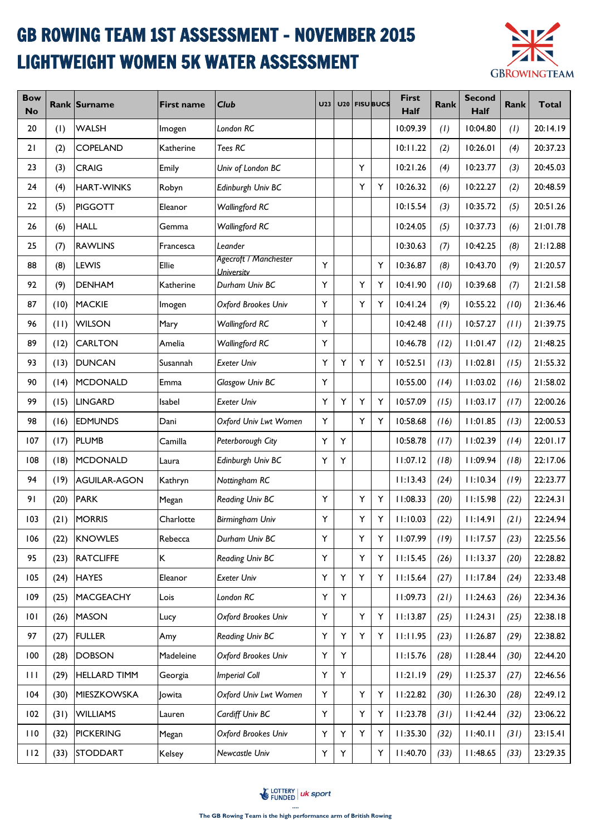## GB ROWING TEAM 1ST ASSESSMENT - NOVEMBER 2015 LIGHTWEIGHT WOMEN 5K WATER ASSESSMENT



| <b>Bow</b><br><b>No</b> |      | Rank Surname        | <b>First name</b> | <b>Club</b>                                              | U <sub>23</sub> | U20 |   | <b>FISU BUCS</b> | <b>First</b><br>Half | Rank | <b>Second</b><br>Half | Rank | <b>Total</b> |
|-------------------------|------|---------------------|-------------------|----------------------------------------------------------|-----------------|-----|---|------------------|----------------------|------|-----------------------|------|--------------|
| 20                      | (1)  | <b>WALSH</b>        | Imogen            | London RC                                                |                 |     |   |                  | 10:09.39             | (1)  | 10:04.80              | (1)  | 20:14.19     |
| 21                      | (2)  | COPELAND            | Katherine         | Tees RC                                                  |                 |     |   |                  | 10:11.22             | (2)  | 10:26.01              | (4)  | 20:37.23     |
| 23                      | (3)  | <b>CRAIG</b>        | Emily             | Univ of London BC                                        |                 |     | Υ |                  | 10:21.26             | (4)  | 10:23.77              | (3)  | 20:45.03     |
| 24                      | (4)  | <b>HART-WINKS</b>   | Robyn             | Edinburgh Univ BC                                        |                 |     | Y | Y                | 10:26.32             | (6)  | 10:22.27              | (2)  | 20:48.59     |
| 22                      | (5)  | <b>PIGGOTT</b>      | Eleanor           | <b>Wallingford RC</b>                                    |                 |     |   |                  | 10:15.54             | (3)  | 10:35.72              | (5)  | 20:51.26     |
| 26                      | (6)  | <b>HALL</b>         | Gemma             | <b>Wallingford RC</b>                                    |                 |     |   |                  | 10:24.05             | (5)  | 10:37.73              | (6)  | 21:01.78     |
| 25                      | (7)  | <b>RAWLINS</b>      | Francesca         | Leander                                                  |                 |     |   |                  | 10:30.63             | (7)  | 10:42.25              | (8)  | 21:12.88     |
| 88                      | (8)  | LEWIS               | Ellie             | Agecroft / Manchester<br><i><u><b>University</b></u></i> | Y               |     |   | Y                | 10:36.87             | (8)  | 10:43.70              | (9)  | 21:20.57     |
| 92                      | (9)  | <b>DENHAM</b>       | Katherine         | Durham Univ BC                                           | Y               |     | Y | Y                | 10:41.90             | (10) | 10:39.68              | (7)  | 21:21.58     |
| 87                      | (10) | <b>MACKIE</b>       | Imogen            | Oxford Brookes Univ                                      | Y               |     | Y | Y                | 10:41.24             | (9)  | 10:55.22              | (10) | 21:36.46     |
| 96                      | (11) | <b>WILSON</b>       | Mary              | <b>Wallingford RC</b>                                    | Υ               |     |   |                  | 10:42.48             | (11) | 10:57.27              | (11) | 21:39.75     |
| 89                      | (12) | <b>CARLTON</b>      | Amelia            | <b>Wallingford RC</b>                                    | Y               |     |   |                  | 10:46.78             | (12) | 11:01.47              | (12) | 21:48.25     |
| 93                      | (13) | <b>DUNCAN</b>       | Susannah          | <b>Exeter Univ</b>                                       | Y               | Y   | Y | Y                | 10:52.51             | (13) | 11:02.81              | (15) | 21:55.32     |
| 90                      | (14) | <b>MCDONALD</b>     | Emma              | Glasgow Univ BC                                          | Υ               |     |   |                  | 10:55.00             | (14) | 11:03.02              | (16) | 21:58.02     |
| 99                      | (15) | <b>LINGARD</b>      | Isabel            | <b>Exeter Univ</b>                                       | Y               | Y   | Υ | Υ                | 10:57.09             | (15) | 11:03.17              | (17) | 22:00.26     |
| 98                      | (16) | <b>EDMUNDS</b>      | Dani              | Oxford Univ Lwt Women                                    | Υ               |     | Y | Y                | 10:58.68             | (16) | 11:01.85              | (13) | 22:00.53     |
| 107                     | (17) | <b>PLUMB</b>        | Camilla           | Peterborough City                                        | Y               | Y   |   |                  | 10:58.78             | (17) | 11:02.39              | (14) | 22:01.17     |
| 108                     | (18) | <b>MCDONALD</b>     | Laura             | Edinburgh Univ BC                                        | Y               | Υ   |   |                  | 11:07.12             | (18) | 11:09.94              | (18) | 22:17.06     |
| 94                      | (19) | <b>AGUILAR-AGON</b> | Kathryn           | Nottingham RC                                            |                 |     |   |                  | 11:13.43             | (24) | 11:10.34              | (19) | 22:23.77     |
| 91                      | (20) | <b>PARK</b>         | Megan             | Reading Univ BC                                          | Y               |     | Υ | Y                | 11:08.33             | (20) | 11:15.98              | (22) | 22:24.31     |
| 103                     | (21) | <b>MORRIS</b>       | Charlotte         | <b>Birmingham Univ</b>                                   | Y               |     | Y | Y                | 11:10.03             | (22) | 11:14.91              | (21) | 22:24.94     |
| 106                     | (22) | <b>KNOWLES</b>      | Rebecca           | Durham Univ BC                                           | Υ               |     | Y | Υ                | 11:07.99             | (19) | 11:17.57              | (23) | 22:25.56     |
| 95                      | (23) | <b>RATCLIFFE</b>    | K.                | Reading Univ BC                                          | Y               |     | Y | Υ                | 11:15.45             | (26) | 11:13.37              | (20) | 22:28.82     |
| 105                     | (24) | <b>HAYES</b>        | Eleanor           | <b>Exeter Univ</b>                                       | Υ               | Υ   | Υ | Y                | 11:15.64             | (27) | 11:17.84              | (24) | 22:33.48     |
| 109                     | (25) | <b>MACGEACHY</b>    | Lois              | London RC                                                | Y               | Y   |   |                  | 11:09.73             | (21) | 11:24.63              | (26) | 22:34.36     |
| 0                       | (26) | <b>MASON</b>        | Lucy              | Oxford Brookes Univ                                      | Y               |     | Y | Y                | 11:13.87             | (25) | 11:24.31              | (25) | 22:38.18     |
| 97                      | (27) | <b>FULLER</b>       | Amy               | Reading Univ BC                                          | Υ               | Y   | Υ | Y                | 11:11.95             | (23) | 11:26.87              | (29) | 22:38.82     |
| 100                     | (28) | <b>DOBSON</b>       | Madeleine         | Oxford Brookes Univ                                      | Υ               | Y   |   |                  | 11:15.76             | (28) | 11:28.44              | (30) | 22:44.20     |
| $\mathbf{H}$            | (29) | <b>HELLARD TIMM</b> | Georgia           | <b>Imperial Coll</b>                                     | Υ               | Y   |   |                  | 11:21.19             | (29) | 11:25.37              | (27) | 22:46.56     |
| 104                     | (30) | MIESZKOWSKA         | Jowita            | Oxford Univ Lwt Women                                    | Y               |     | Υ | Υ                | 11:22.82             | (30) | 11:26.30              | (28) | 22:49.12     |
| 102                     | (31) | <b>WILLIAMS</b>     | Lauren            | Cardiff Univ BC                                          | Y               |     | Υ | Y                | 11:23.78             | (31) | 11:42.44              | (32) | 23:06.22     |
| 110                     | (32) | <b>PICKERING</b>    | Megan             | Oxford Brookes Univ                                      | Υ               | Υ   | Y | Υ                | 11:35.30             | (32) | 11:40.11              | (31) | 23:15.41     |
| 112                     | (33) | <b>STODDART</b>     | Kelsey            | Newcastle Univ                                           | Υ               | Y   |   | Y                | 11:40.70             | (33) | 11:48.65              | (33) | 23:29.35     |